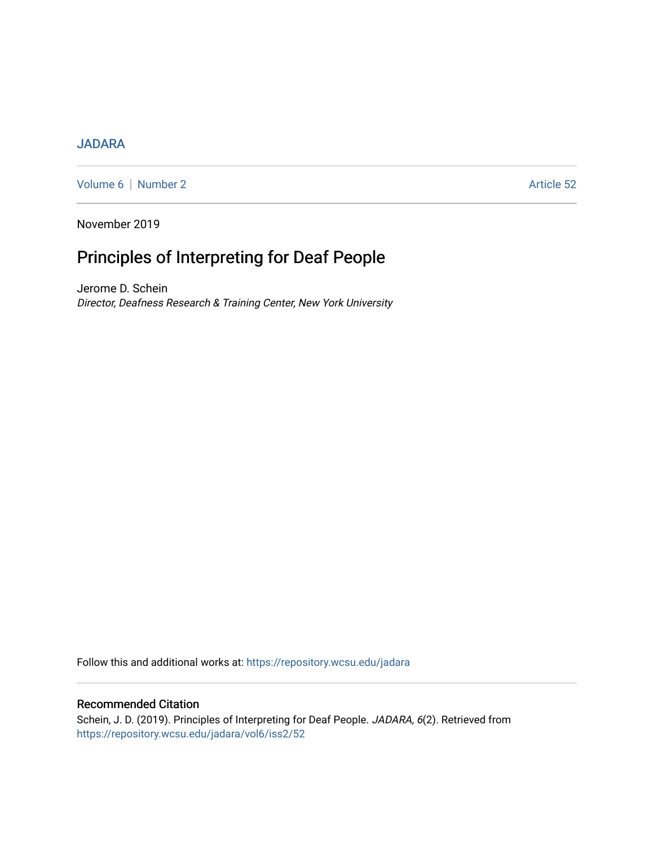## [JADARA](https://repository.wcsu.edu/jadara)

[Volume 6](https://repository.wcsu.edu/jadara/vol6) | [Number 2](https://repository.wcsu.edu/jadara/vol6/iss2) Article 52

November 2019

# Principles of Interpreting for Deaf People

Jerome D. Schein Director, Deafness Research & Training Center, New York University

Follow this and additional works at: [https://repository.wcsu.edu/jadara](https://repository.wcsu.edu/jadara?utm_source=repository.wcsu.edu%2Fjadara%2Fvol6%2Fiss2%2F52&utm_medium=PDF&utm_campaign=PDFCoverPages)

## Recommended Citation

Schein, J. D. (2019). Principles of Interpreting for Deaf People. JADARA, 6(2). Retrieved from [https://repository.wcsu.edu/jadara/vol6/iss2/52](https://repository.wcsu.edu/jadara/vol6/iss2/52?utm_source=repository.wcsu.edu%2Fjadara%2Fvol6%2Fiss2%2F52&utm_medium=PDF&utm_campaign=PDFCoverPages)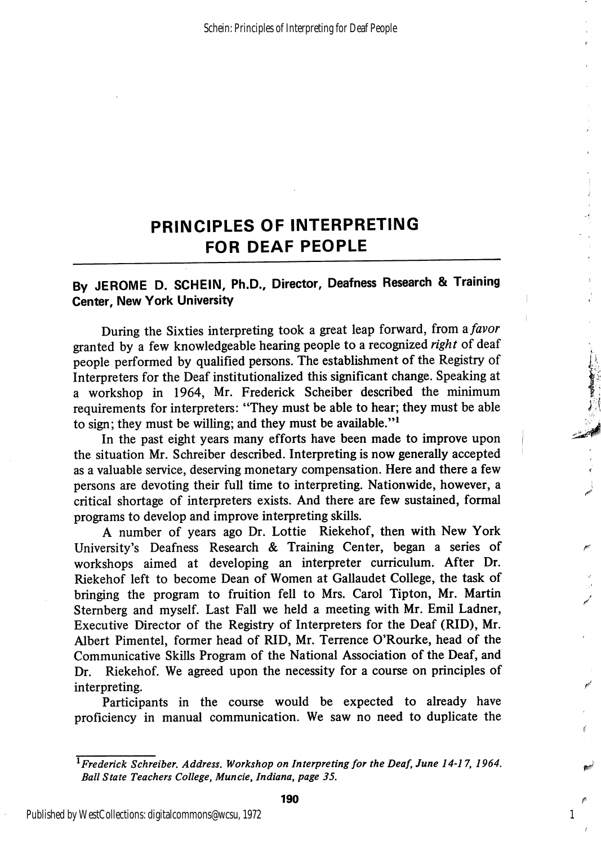# PRINCIPLES OF INTERPRETING FOR DEAF PEOPLE

## By JEROME D. SCHEIN, Ph.D., Director, Deafness Research & Training Center, New York University

During the Sixties interpreting took a great leap forward, from a favor granted by a few knowledgeable hearing people to a recognized right of deaf people performed by qualified persons. The establishment of the Registry of Interpreters for the Deaf institutionalized this significant change. Speaking at a workshop in 1964, Mr. Frederick Scheiber described the minimum requirements for interpreters: "They must be able to hear; they must be able to sign; they must be willing; and they must be available."<sup>1</sup>

In the past eight years many efforts have been made to improve upon the situation Mr. Schreiber described. Interpreting is now generally accepted as a valuable service, deserving monetary compensation. Here and there a few persons are devoting their full time to interpreting. Nationwide, however, a j critical shortage of interpreters exists. And there are few sustained, formal programs to develop and improve interpreting skills.

A number of years ago Dr. Lottie Riekehof, then with New York University's Deafness Research & Training Center, began a series of workshops aimed at developing an interpreter curriculum. After Dr. Riekehof left to become Dean of Women at Gallaudet College, the task of bringing the program to fruition fell to Mrs. Carol Tipton, Mr. Martin Sternberg and myself. Last Fall we held a meeting with Mr. Emil Ladner, Executive Director of the Registry of Interpreters for the Deaf (RID), Mr. Albert Pimentel, former head of RID, Mr. Terrence O'Rourke, head of the Communicative Skills Program of the National Association of the Deaf, and Dr. Riekehof. We agreed upon the necessity for a course on principles of interpreting.

Participants in the course would be expected to already have proficiency in manual communication. We saw no need to duplicate the

1

Published by WestCollections: digitalcommons@wcsu, 1972

 $^{\overline{1}}$ Frederick Schreiber. Address. Workshop on Interpreting for the Deaf, June 14-17, 1964. Ball State Teachers College, Muncie, Indiana, page 35.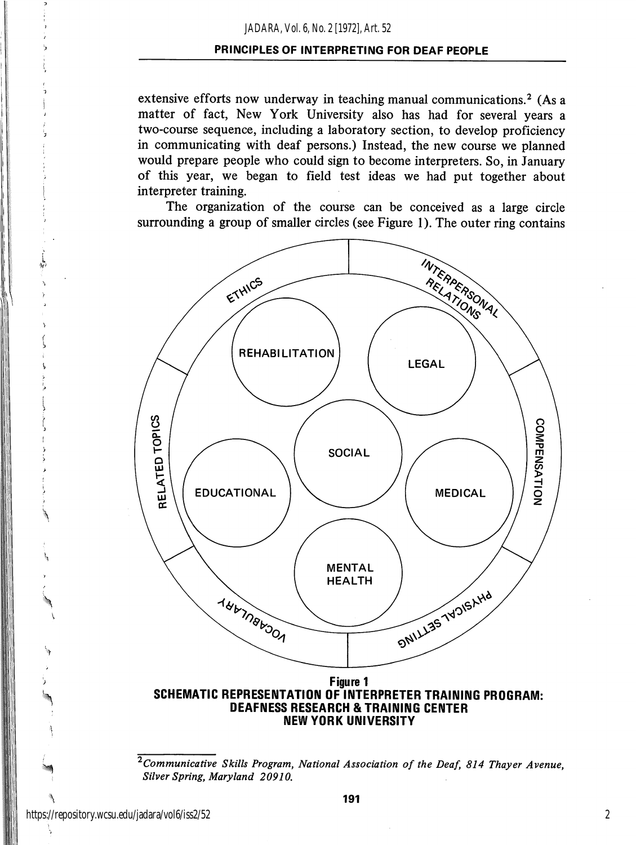#### *JADARA, Vol. 6, No. 2 [1972], Art. 52*

### PRINCIPLES OF INTERPRETING FOR DEAF PEOPLE

extensive efforts now underway in teaching manual communications.<sup>2</sup> (As a matter of fact, New York University also has had for several years a two-course sequence, including a laboratory section, to develop proficiency in communicating with deaf persons.) Instead, the new course we planned would prepare people who could sign to become interpreters. So, in January of this year, we began to field test ideas we had put together about interpreter training.

The organization of the course can be conceived as a large circle surrounding a group of smaller circles (see Figure 1). The outer ring contains



# DEAFNESS RESEARCH & TRAINING CENTER NEW YORK UNIVERSITY

 $\overline{c_{\textit{Commnicative}}$  Skills Program, National Association of the Deaf, 814 Thayer Avenue, Silver Spring, Maryland 20910.

L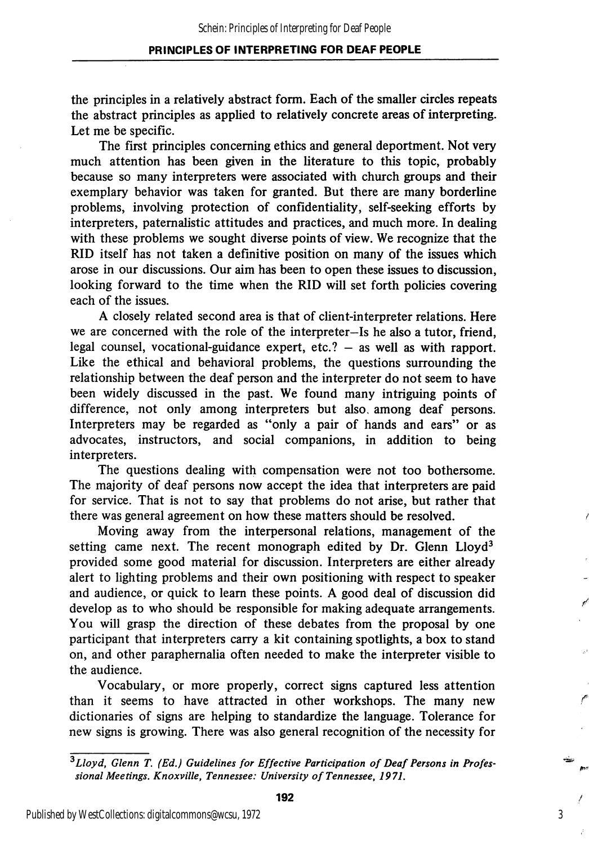## PRINCIPLES OF INTERPRETING FOR DEAF PEOPLE

the principles in a relatively abstract form. Each of the smaller circles repeats the abstract principles as applied to relatively concrete areas of interpreting. Let me be specific.

The first principles concerning ethics and general deportment. Not very much attention has been given in the literature to this topic, probably because so many interpreters were associated with church groups and their exemplary behavior was taken for granted. But there are many borderline problems, involving protection of confidentiality, self-seeking efforts by interpreters, paternalistic attitudes and practices, and much more. In dealing with these problems we sought diverse points of view. We recognize that the RID itself has not taken a definitive position on many of the issues which arose in our discussions. Our aim has been to open these issues to discussion, looking forward to the time when the RID will set forth policies covering each of the issues.

A closely related second area is that of client-interpreter relations. Here we are concerned with the role of the interpreter—Is he also a tutor, friend, legal counsel, vocational-guidance expert, etc.? — as well as with rapport. Like the ethical and behavioral problems, the questions surrounding the relationship between the deaf person and the interpreter do not seem to have been widely discussed in the past. We found many intriguing points of difference, not only among interpreters but also, among deaf persons. Interpreters may be regarded as "only a pair of hands and ears" or as advocates, instructors, and social companions, in addition to being interpreters.

The questions dealing with compensation were not too bothersome. The majority of deaf persons now accept the idea that interpreters are paid for service. That is not to say that problems do not arise, but rather that there was general agreement on how these matters should be resolved.

Moving away from the interpersonal relations, management of the setting came next. The recent monograph edited by Dr. Glenn Lloyd<sup>3</sup> provided some good material for discussion. Interpreters are either already alert to lighting problems and their own positioning with respect to speaker and audience, or quick to learn these points. A good deal of discussion did develop as to who should be responsible for making adequate arrangements. You will grasp the direction of these debates from the proposal by one participant that interpreters carry a kit containing spotlights, a box to stand on, and other paraphernalia often needed to make the interpreter visible to the audience.

Vocabulary, or more properly, correct signs captured less attention than it seems to have attracted in other workshops. The many new dictionaries of signs are helping to standardize the language. Tolerance for new signs is growing. There was also general recognition of the necessity for

 $3$ Lloyd, Glenn T. (Ed.) Guidelines for Effective Participation of Deaf Persons in Professional Meetings. Knoxville, Tennessee: University of Tennessee, 1971.